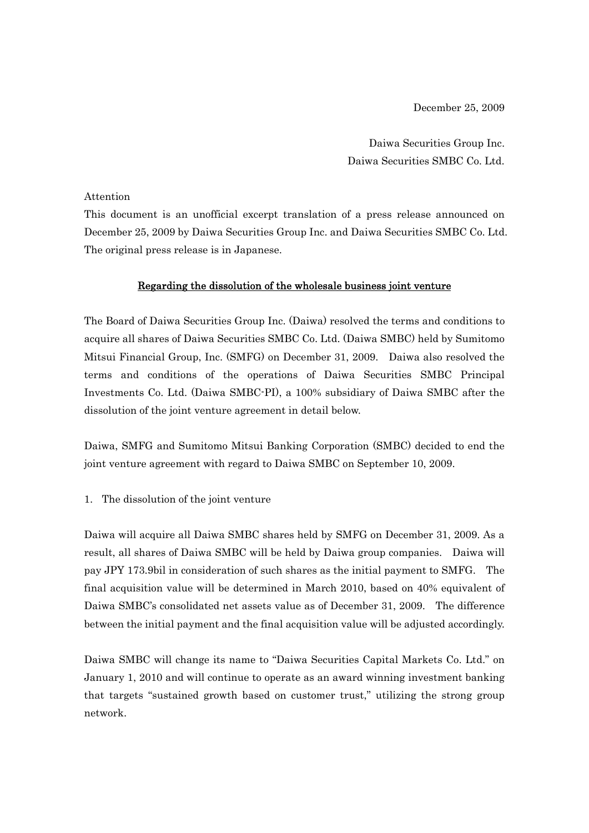December 25, 2009

Daiwa Securities Group Inc. Daiwa Securities SMBC Co. Ltd.

### Attention

This document is an unofficial excerpt translation of a press release announced on December 25, 2009 by Daiwa Securities Group Inc. and Daiwa Securities SMBC Co. Ltd. The original press release is in Japanese.

# Regarding the dissolution of the wholesale business joint venture

The Board of Daiwa Securities Group Inc. (Daiwa) resolved the terms and conditions to acquire all shares of Daiwa Securities SMBC Co. Ltd. (Daiwa SMBC) held by Sumitomo Mitsui Financial Group, Inc. (SMFG) on December 31, 2009. Daiwa also resolved the terms and conditions of the operations of Daiwa Securities SMBC Principal Investments Co. Ltd. (Daiwa SMBC-PI), a 100% subsidiary of Daiwa SMBC after the dissolution of the joint venture agreement in detail below.

Daiwa, SMFG and Sumitomo Mitsui Banking Corporation (SMBC) decided to end the joint venture agreement with regard to Daiwa SMBC on September 10, 2009.

# 1. The dissolution of the joint venture

Daiwa will acquire all Daiwa SMBC shares held by SMFG on December 31, 2009. As a result, all shares of Daiwa SMBC will be held by Daiwa group companies. Daiwa will pay JPY 173.9bil in consideration of such shares as the initial payment to SMFG. The final acquisition value will be determined in March 2010, based on 40% equivalent of Daiwa SMBC's consolidated net assets value as of December 31, 2009. The difference between the initial payment and the final acquisition value will be adjusted accordingly.

Daiwa SMBC will change its name to "Daiwa Securities Capital Markets Co. Ltd." on January 1, 2010 and will continue to operate as an award winning investment banking that targets "sustained growth based on customer trust," utilizing the strong group network.